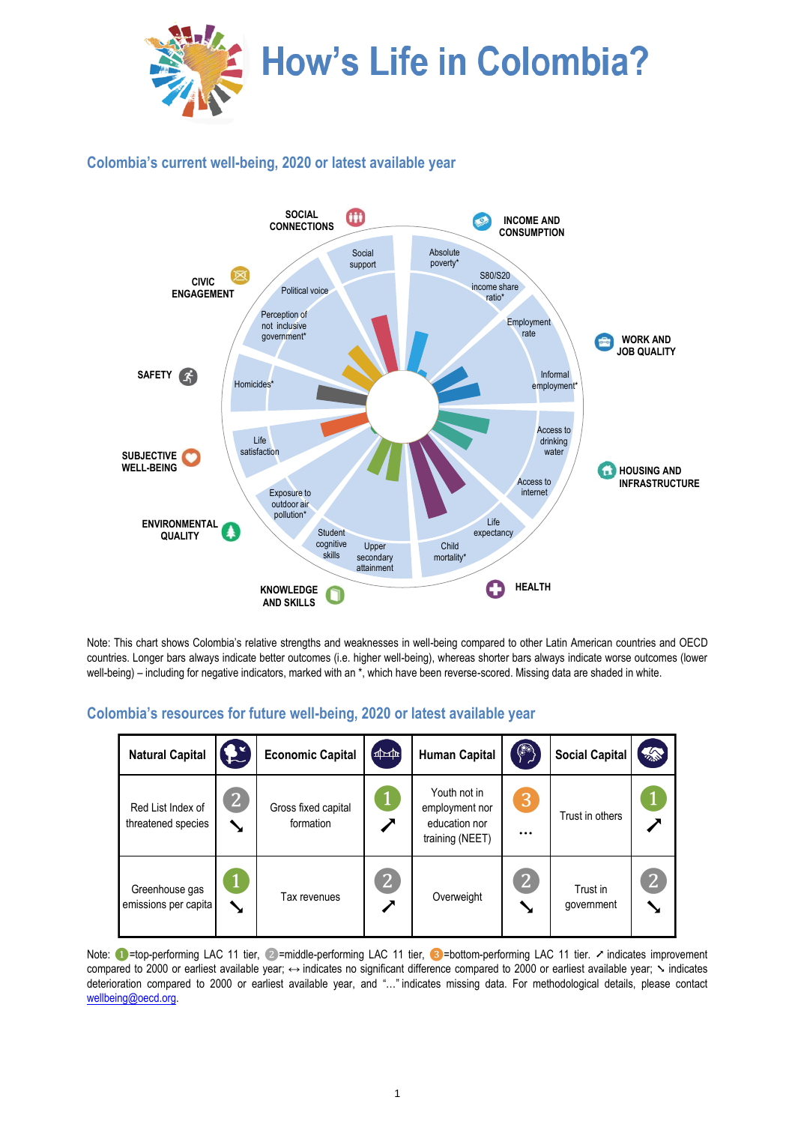

# **Colombia's current well-being, 2020 or latest available year**



Note: This chart shows Colombia's relative strengths and weaknesses in well-being compared to other Latin American countries and OECD countries. Longer bars always indicate better outcomes (i.e. higher well-being), whereas shorter bars always indicate worse outcomes (lower well-being) – including for negative indicators, marked with an \*, which have been reverse-scored. Missing data are shaded in white.

#### **Natural Capital**  $\left|\bigodot^{2}$  **Economic Capital**  $\left|\bigoplus^{4-\text{th}}$  **Human Capital**  $\left|\bigodot^{8}$  **Social Capital** Red List Index of threatened species ❷ ➘ Gross fixed capital formation ❶ ➚ Youth not in employment nor education nor training (NEET) ❸ … Trust in others <sup>❶</sup> ➚ Greenhouse gas emissions per capita  $\mathbf 1$ ➘ Tax revenues ❷ ➚ Overweight 2 ➘ Trust in government ❷ ➘

# **Colombia's resources for future well-being, 2020 or latest available year**

Note: ●=top-performing LAC 11 tier, ②=middle-performing LAC 11 tier, ③=bottom-performing LAC 11 tier. ↗ indicates improvement compared to 2000 or earliest available year; ↔ indicates no significant difference compared to 2000 or earliest available year;  $\sim$  indicates deterioration compared to 2000 or earliest available year, and "…" indicates missing data. For methodological details, please contact [wellbeing@oecd.org.](mailto:wellbeing@oecd.org)